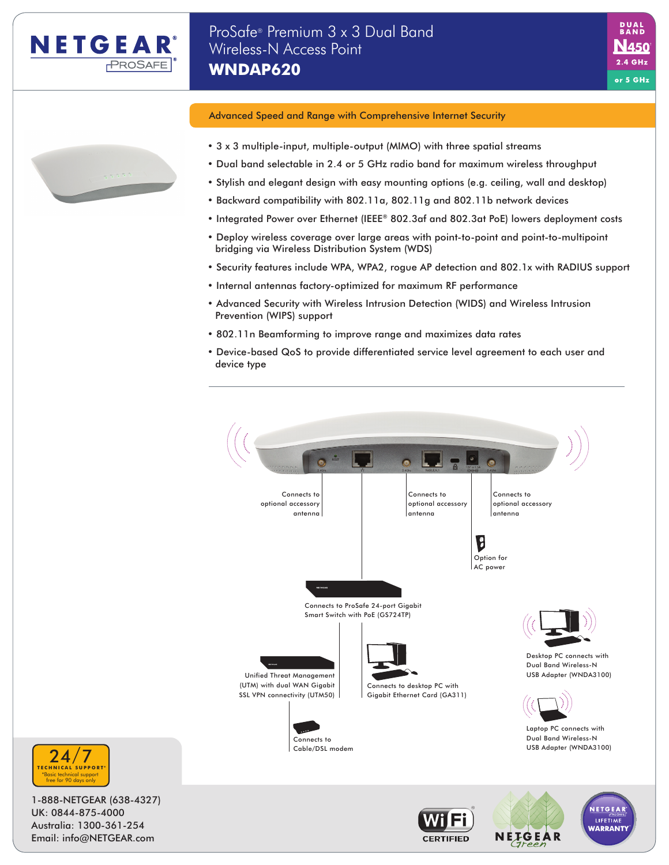

N450  $2.4<sub>GHz</sub>$ or 5 GHz



- 3 x 3 multiple-input, multiple-output (MIMO) with three spatial streams
- Dual band selectable in 2.4 or 5 GHz radio band for maximum wireless throughput
- Stylish and elegant design with easy mounting options (e.g. ceiling, wall and desktop)
- Backward compatibility with 802.11a, 802.11g and 802.11b network devices
- Integrated Power over Ethernet (IEEE® 802.3af and 802.3at PoE) lowers deployment costs
- Deploy wireless coverage over large areas with point-to-point and point-to-multipoint bridging via Wireless Distribution System (WDS)
- Security features include WPA, WPA2, rogue AP detection and 802.1x with RADIUS support
- Internal antennas factory-optimized for maximum RF performance
- Advanced Security with Wireless Intrusion Detection (WIDS) and Wireless Intrusion Prevention (WIPS) support
- 802.11n Beamforming to improve range and maximizes data rates
- Device-based QoS to provide differentiated service level agreement to each user and device type







1-888-NETGEAR (638-4327) UK: 0844-875-4000 Australia: 1300-361-254 Email: info@NETGEAR.com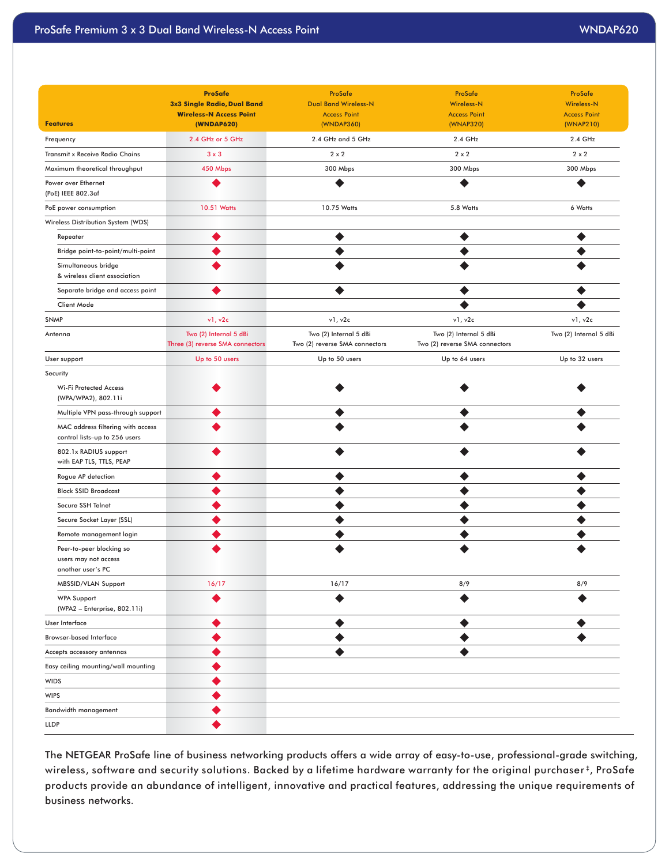|                                                                       | <b>ProSafe</b><br>3x3 Single Radio, Dual Band              | ProSafe<br><b>Dual Band Wireless-N</b>                   | ProSafe<br>Wireless-N                                    | ProSafe<br><b>Wireless-N</b>     |
|-----------------------------------------------------------------------|------------------------------------------------------------|----------------------------------------------------------|----------------------------------------------------------|----------------------------------|
| <b>Features</b>                                                       | <b>Wireless-N Access Point</b><br>(WNDAP620)               | <b>Access Point</b><br>(WNDAP360)                        | <b>Access Point</b><br>(WNAP320)                         | <b>Access Point</b><br>(WNAP210) |
| Frequency                                                             | 2.4 GHz or 5 GHz                                           | 2.4 GHz and 5 GHz                                        | 2.4 GHz                                                  | 2.4 GHz                          |
| Transmit x Receive Radio Chains                                       | $3 \times 3$                                               | $2 \times 2$                                             | $2 \times 2$                                             | $2 \times 2$                     |
| Maximum theoretical throughput                                        | 450 Mbps                                                   | 300 Mbps                                                 | 300 Mbps                                                 | 300 Mbps                         |
| Power over Ethernet<br>(PoE) IEEE 802.3af                             | $\bullet$                                                  | $\bullet$                                                | $\bullet$                                                | $\bullet$                        |
| PoE power consumption                                                 | 10.51 Watts                                                | 10.75 Watts                                              | 5.8 Watts                                                | 6 Watts                          |
| Wireless Distribution System (WDS)                                    |                                                            |                                                          |                                                          |                                  |
| Repeater                                                              | $\bullet$                                                  | $\bullet$                                                | $\bullet$                                                | ◉                                |
| Bridge point-to-point/multi-point                                     | $\bullet$                                                  | $\bullet$                                                | $\bullet$                                                | $\bullet$                        |
| Simultaneous bridge<br>& wireless client association                  | $\bullet$                                                  | $\bullet$                                                | $\bullet$                                                | $\bullet$                        |
| Separate bridge and access point                                      | $\bullet$                                                  | $\bullet$                                                | $\bullet$                                                | $\bullet$                        |
| Client Mode                                                           |                                                            |                                                          | $\bullet$                                                | $\bullet$                        |
| <b>SNMP</b>                                                           | v1, v2c                                                    | v1, v2c                                                  | v1, v2c                                                  | v1, v2c                          |
| Antenna                                                               | Two (2) Internal 5 dBi<br>Three (3) reverse SMA connectors | Two (2) Internal 5 dBi<br>Two (2) reverse SMA connectors | Two (2) Internal 5 dBi<br>Two (2) reverse SMA connectors | Two (2) Internal 5 dBi           |
| User support                                                          | Up to 50 users                                             | Up to 50 users                                           | Up to 64 users                                           | Up to 32 users                   |
| Security                                                              |                                                            |                                                          |                                                          |                                  |
| <b>Wi-Fi Protected Access</b><br>(WPA/WPA2), 802.11i                  | ◉                                                          | ◉                                                        | ◉                                                        | ◉                                |
| Multiple VPN pass-through support                                     | $\bullet$                                                  | $\bullet$                                                | $\bullet$                                                | $\bullet$                        |
| MAC address filtering with access<br>control lists-up to 256 users    | $\bullet$                                                  | $\bullet$                                                | $\bullet$                                                | $\bullet$                        |
| 802.1x RADIUS support<br>with EAP TLS, TTLS, PEAP                     | $\bullet$                                                  | $\bullet$                                                | $\bullet$                                                | $\bullet$                        |
| Rogue AP detection                                                    | $\bullet$                                                  | $\bullet$                                                | $\bullet$                                                | $\bullet$                        |
| <b>Block SSID Broadcast</b>                                           | $\bullet$                                                  | $\bullet$                                                | $\bullet$                                                | $\bullet$                        |
| Secure SSH Telnet                                                     | ◉                                                          | $\bullet$                                                | $\bullet$                                                | $\bullet$                        |
| Secure Socket Layer (SSL)                                             | $\bullet$                                                  | $\bullet$                                                | $\bullet$                                                | $\bullet$                        |
| Remote management login                                               | $\bullet$                                                  | $\bullet$                                                | $\bullet$                                                | $\bullet$                        |
| Peer-to-peer blocking so<br>users may not access<br>another user's PC | $\bullet$                                                  | $\bullet$                                                | $\bullet$                                                | $\bullet$                        |
| MBSSID/VLAN Support                                                   | 16/17                                                      | 16/17                                                    | 8/9                                                      | 8/9                              |
| <b>WPA Support</b><br>(WPA2 - Enterprise, 802.11i)                    | $\bullet$                                                  | $\bullet$                                                | $\bullet$                                                | $\bullet$                        |
| User Interface                                                        | $\bullet$                                                  | $\bullet$                                                | $\bullet$                                                | $\bullet$                        |
| <b>Browser-based Interface</b>                                        | $\bullet$                                                  | $\bullet$                                                | $\bullet$                                                | $\bullet$                        |
| Accepts accessory antennas                                            | $\bullet$                                                  | $\bullet$                                                | $\bullet$                                                |                                  |
| Easy ceiling mounting/wall mounting                                   | $\bullet$                                                  |                                                          |                                                          |                                  |
| <b>WIDS</b>                                                           | $\bullet$                                                  |                                                          |                                                          |                                  |
| <b>WIPS</b>                                                           | $\bullet$                                                  |                                                          |                                                          |                                  |
| Bandwidth management                                                  | $\bullet$                                                  |                                                          |                                                          |                                  |
| <b>LLDP</b>                                                           | $\bullet$                                                  |                                                          |                                                          |                                  |

The NETGEAR ProSafe line of business networking products offers a wide array of easy-to-use, professional-grade switching, wireless, software and security solutions. Backed by a lifetime hardware warranty for the original purchaser<sup>#</sup>, ProSafe products provide an abundance of intelligent, innovative and practical features, addressing the unique requirements of business networks.